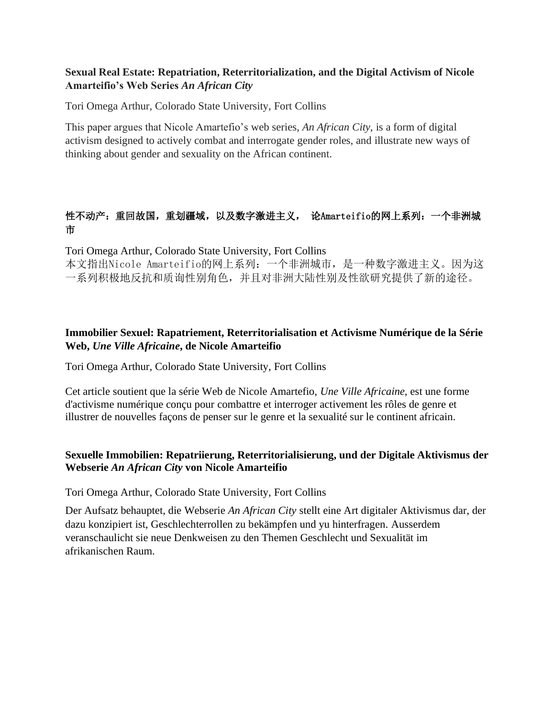### **Sexual Real Estate: Repatriation, Reterritorialization, and the Digital Activism of Nicole Amarteifio's Web Series** *An African City*

Tori Omega Arthur, Colorado State University, Fort Collins

This paper argues that Nicole Amartefio's web series, *An African City*, is a form of digital activism designed to actively combat and interrogate gender roles, and illustrate new ways of thinking about gender and sexuality on the African continent.

# 性不动产:重回故国,重划疆域,以及数字激进主义, 论Amarteifio的网上系列:一个非洲城 市

Tori Omega Arthur, Colorado State University, Fort Collins

本文指出Nicole Amarteifio的网上系列:一个非洲城市,是一种数字激进主义。因为这 一系列积极地反抗和质询性别角色,并且对非洲大陆性别及性欲研究提供了新的途径。

# **Immobilier Sexuel: Rapatriement, Reterritorialisation et Activisme Numérique de la Série Web,** *Une Ville Africaine***, de Nicole Amarteifio**

Tori Omega Arthur, Colorado State University, Fort Collins

Cet article soutient que la série Web de Nicole Amartefio, *Une Ville Africaine*, est une forme d'activisme numérique conçu pour combattre et interroger activement les rôles de genre et illustrer de nouvelles façons de penser sur le genre et la sexualité sur le continent africain.

## **Sexuelle Immobilien: Repatriierung, Reterritorialisierung, und der Digitale Aktivismus der Webserie** *An African City* **von Nicole Amarteifio**

Tori Omega Arthur, Colorado State University, Fort Collins

Der Aufsatz behauptet, die Webserie *An African City* stellt eine Art digitaler Aktivismus dar, der dazu konzipiert ist, Geschlechterrollen zu bekämpfen und yu hinterfragen. Ausserdem veranschaulicht sie neue Denkweisen zu den Themen Geschlecht und Sexualität im afrikanischen Raum.